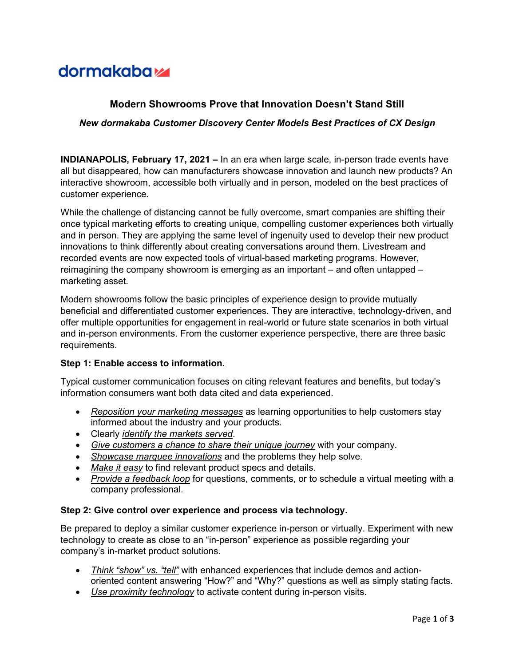# dormakaba<sub>k</sub>

## Modern Showrooms Prove that Innovation Doesn't Stand Still

### New dormakaba Customer Discovery Center Models Best Practices of CX Design

INDIANAPOLIS, February 17, 2021 – In an era when large scale, in-person trade events have all but disappeared, how can manufacturers showcase innovation and launch new products? An interactive showroom, accessible both virtually and in person, modeled on the best practices of customer experience.

While the challenge of distancing cannot be fully overcome, smart companies are shifting their once typical marketing efforts to creating unique, compelling customer experiences both virtually and in person. They are applying the same level of ingenuity used to develop their new product innovations to think differently about creating conversations around them. Livestream and recorded events are now expected tools of virtual-based marketing programs. However, reimagining the company showroom is emerging as an important – and often untapped – marketing asset.

Modern showrooms follow the basic principles of experience design to provide mutually beneficial and differentiated customer experiences. They are interactive, technology-driven, and offer multiple opportunities for engagement in real-world or future state scenarios in both virtual and in-person environments. From the customer experience perspective, there are three basic requirements.

#### Step 1: Enable access to information.

Typical customer communication focuses on citing relevant features and benefits, but today's information consumers want both data cited and data experienced.

- Reposition your marketing messages as learning opportunities to help customers stay informed about the industry and your products.
- Clearly *identify the markets served.*
- Give customers a chance to share their unique journey with your company.
- Showcase marquee innovations and the problems they help solve.
- Make it easy to find relevant product specs and details.
- Provide a feedback loop for questions, comments, or to schedule a virtual meeting with a company professional.

#### Step 2: Give control over experience and process via technology.

Be prepared to deploy a similar customer experience in-person or virtually. Experiment with new technology to create as close to an "in-person" experience as possible regarding your company's in-market product solutions.

- Think "show" vs. "tell" with enhanced experiences that include demos and actionoriented content answering "How?" and "Why?" questions as well as simply stating facts.
- Use proximity technology to activate content during in-person visits.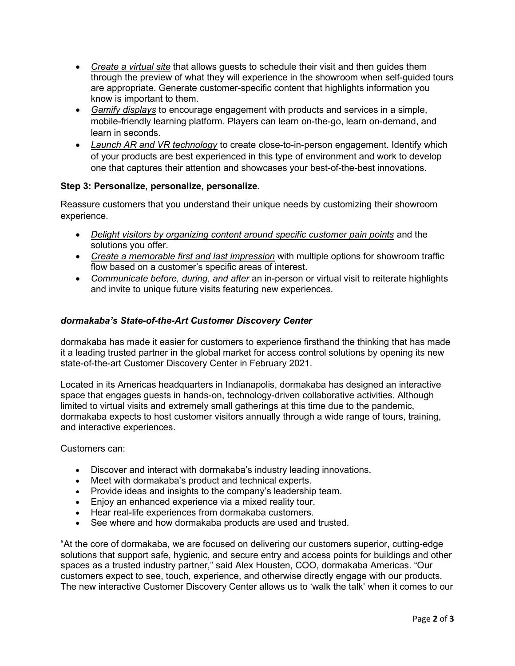- Create a virtual site that allows guests to schedule their visit and then guides them through the preview of what they will experience in the showroom when self-guided tours are appropriate. Generate customer-specific content that highlights information you know is important to them.
- Gamify displays to encourage engagement with products and services in a simple, mobile-friendly learning platform. Players can learn on-the-go, learn on-demand, and learn in seconds.
- Launch AR and VR technology to create close-to-in-person engagement. Identify which of your products are best experienced in this type of environment and work to develop one that captures their attention and showcases your best-of-the-best innovations.

## Step 3: Personalize, personalize, personalize.

Reassure customers that you understand their unique needs by customizing their showroom experience.

- Delight visitors by organizing content around specific customer pain points and the solutions you offer.
- Create a memorable first and last impression with multiple options for showroom traffic flow based on a customer's specific areas of interest.
- Communicate before, during, and after an in-person or virtual visit to reiterate highlights and invite to unique future visits featuring new experiences.

## dormakaba's State-of-the-Art Customer Discovery Center

dormakaba has made it easier for customers to experience firsthand the thinking that has made it a leading trusted partner in the global market for access control solutions by opening its new state-of-the-art Customer Discovery Center in February 2021.

Located in its Americas headquarters in Indianapolis, dormakaba has designed an interactive space that engages guests in hands-on, technology-driven collaborative activities. Although limited to virtual visits and extremely small gatherings at this time due to the pandemic, dormakaba expects to host customer visitors annually through a wide range of tours, training, and interactive experiences.

Customers can:

- Discover and interact with dormakaba's industry leading innovations.
- Meet with dormakaba's product and technical experts.
- Provide ideas and insights to the company's leadership team.
- Enjoy an enhanced experience via a mixed reality tour.
- Hear real-life experiences from dormakaba customers.
- See where and how dormakaba products are used and trusted.

"At the core of dormakaba, we are focused on delivering our customers superior, cutting-edge solutions that support safe, hygienic, and secure entry and access points for buildings and other spaces as a trusted industry partner," said Alex Housten, COO, dormakaba Americas. "Our customers expect to see, touch, experience, and otherwise directly engage with our products. The new interactive Customer Discovery Center allows us to 'walk the talk' when it comes to our